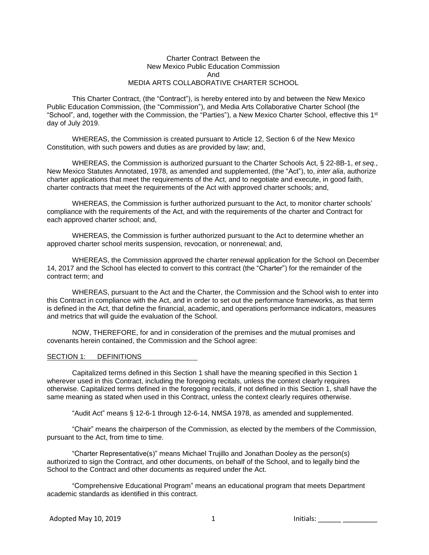#### Charter Contract Between the New Mexico Public Education Commission And MEDIA ARTS COLLABORATIVE CHARTER SCHOOL

This Charter Contract, (the "Contract"), is hereby entered into by and between the New Mexico Public Education Commission, (the "Commission"), and Media Arts Collaborative Charter School (the "School", and, together with the Commission, the "Parties"), a New Mexico Charter School, effective this 1<sup>st</sup> day of July 2019.

WHEREAS, the Commission is created pursuant to Article 12, Section 6 of the New Mexico Constitution, with such powers and duties as are provided by law; and,

WHEREAS, the Commission is authorized pursuant to the Charter Schools Act, § 22-8B-1, *et seq.*, New Mexico Statutes Annotated, 1978, as amended and supplemented, (the "Act"), to, *inter alia*, authorize charter applications that meet the requirements of the Act, and to negotiate and execute, in good faith, charter contracts that meet the requirements of the Act with approved charter schools; and,

WHEREAS, the Commission is further authorized pursuant to the Act, to monitor charter schools' compliance with the requirements of the Act, and with the requirements of the charter and Contract for each approved charter school; and,

WHEREAS, the Commission is further authorized pursuant to the Act to determine whether an approved charter school merits suspension, revocation, or nonrenewal; and,

WHEREAS, the Commission approved the charter renewal application for the School on December 14, 2017 and the School has elected to convert to this contract (the "Charter") for the remainder of the contract term; and

WHEREAS, pursuant to the Act and the Charter, the Commission and the School wish to enter into this Contract in compliance with the Act, and in order to set out the performance frameworks, as that term is defined in the Act, that define the financial, academic, and operations performance indicators, measures and metrics that will guide the evaluation of the School.

NOW, THEREFORE, for and in consideration of the premises and the mutual promises and covenants herein contained, the Commission and the School agree:

#### SECTION 1: DEFINITIONS

Capitalized terms defined in this Section 1 shall have the meaning specified in this Section 1 wherever used in this Contract, including the foregoing recitals, unless the context clearly requires otherwise. Capitalized terms defined in the foregoing recitals, if not defined in this Section 1, shall have the same meaning as stated when used in this Contract, unless the context clearly requires otherwise.

"Audit Act" means § 12-6-1 through 12-6-14, NMSA 1978, as amended and supplemented.

"Chair" means the chairperson of the Commission, as elected by the members of the Commission, pursuant to the Act, from time to time.

"Charter Representative(s)" means Michael Trujillo and Jonathan Dooley as the person(s) authorized to sign the Contract, and other documents, on behalf of the School, and to legally bind the School to the Contract and other documents as required under the Act.

"Comprehensive Educational Program" means an educational program that meets Department academic standards as identified in this contract.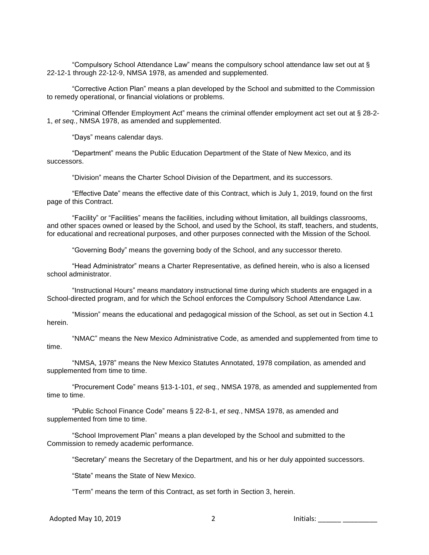"Compulsory School Attendance Law" means the compulsory school attendance law set out at § 22-12-1 through 22-12-9, NMSA 1978, as amended and supplemented.

"Corrective Action Plan" means a plan developed by the School and submitted to the Commission to remedy operational, or financial violations or problems.

"Criminal Offender Employment Act" means the criminal offender employment act set out at § 28-2- 1, *et seq.*, NMSA 1978, as amended and supplemented.

"Days" means calendar days.

"Department" means the Public Education Department of the State of New Mexico, and its successors.

"Division" means the Charter School Division of the Department, and its successors.

"Effective Date" means the effective date of this Contract, which is July 1, 2019, found on the first page of this Contract.

"Facility" or "Facilities" means the facilities, including without limitation, all buildings classrooms, and other spaces owned or leased by the School, and used by the School, its staff, teachers, and students, for educational and recreational purposes, and other purposes connected with the Mission of the School.

"Governing Body" means the governing body of the School, and any successor thereto.

"Head Administrator" means a Charter Representative, as defined herein, who is also a licensed school administrator.

"Instructional Hours" means mandatory instructional time during which students are engaged in a School-directed program, and for which the School enforces the Compulsory School Attendance Law.

"Mission" means the educational and pedagogical mission of the School, as set out in Section 4.1 herein.

"NMAC" means the New Mexico Administrative Code, as amended and supplemented from time to time.

"NMSA, 1978" means the New Mexico Statutes Annotated, 1978 compilation, as amended and supplemented from time to time.

"Procurement Code" means §13-1-101, *et seq.*, NMSA 1978, as amended and supplemented from time to time.

"Public School Finance Code" means § 22-8-1, *et seq.*, NMSA 1978, as amended and supplemented from time to time.

"School Improvement Plan" means a plan developed by the School and submitted to the Commission to remedy academic performance.

"Secretary" means the Secretary of the Department, and his or her duly appointed successors.

"State" means the State of New Mexico.

"Term" means the term of this Contract, as set forth in Section 3, herein.

Adopted May 10, 2019 **2** 2 **Initials:** \_\_\_\_\_\_ \_\_\_\_\_\_\_\_\_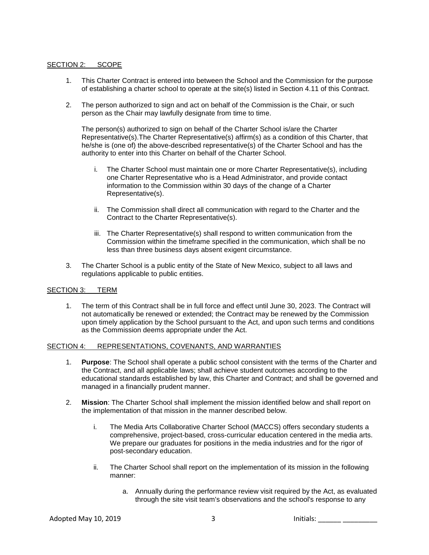# SECTION 2: SCOPE

- 1. This Charter Contract is entered into between the School and the Commission for the purpose of establishing a charter school to operate at the site(s) listed in Section 4.11 of this Contract.
- 2. The person authorized to sign and act on behalf of the Commission is the Chair, or such person as the Chair may lawfully designate from time to time.

The person(s) authorized to sign on behalf of the Charter School is/are the Charter Representative(s).The Charter Representative(s) affirm(s) as a condition of this Charter, that he/she is (one of) the above-described representative(s) of the Charter School and has the authority to enter into this Charter on behalf of the Charter School.

- i. The Charter School must maintain one or more Charter Representative(s), including one Charter Representative who is a Head Administrator, and provide contact information to the Commission within 30 days of the change of a Charter Representative(s).
- ii. The Commission shall direct all communication with regard to the Charter and the Contract to the Charter Representative(s).
- iii. The Charter Representative(s) shall respond to written communication from the Commission within the timeframe specified in the communication, which shall be no less than three business days absent exigent circumstance.
- 3. The Charter School is a public entity of the State of New Mexico, subject to all laws and regulations applicable to public entities.

## SECTION 3: TERM

1. The term of this Contract shall be in full force and effect until June 30, 2023. The Contract will not automatically be renewed or extended; the Contract may be renewed by the Commission upon timely application by the School pursuant to the Act, and upon such terms and conditions as the Commission deems appropriate under the Act.

## SECTION 4: REPRESENTATIONS, COVENANTS, AND WARRANTIES

- 1. **Purpose**: The School shall operate a public school consistent with the terms of the Charter and the Contract, and all applicable laws; shall achieve student outcomes according to the educational standards established by law, this Charter and Contract; and shall be governed and managed in a financially prudent manner.
- 2. **Mission**: The Charter School shall implement the mission identified below and shall report on the implementation of that mission in the manner described below.
	- i. The Media Arts Collaborative Charter School (MACCS) offers secondary students a comprehensive, project-based, cross-curricular education centered in the media arts. We prepare our graduates for positions in the media industries and for the rigor of post-secondary education.
	- ii. The Charter School shall report on the implementation of its mission in the following manner:
		- a. Annually during the performance review visit required by the Act, as evaluated through the site visit team's observations and the school's response to any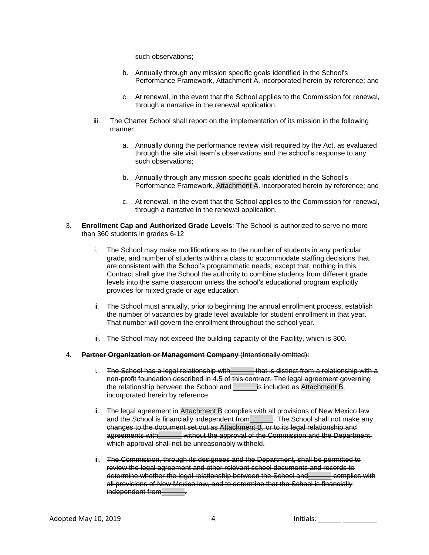such observations;

- b. Annually through any mission specific goals identified in the School's Performance Framework, Attachment A, incorporated herein by reference; and
- c. At renewal, in the event that the School applies to the Commission for renewal, through a narrative in the renewal application.
- iii. The Charter School shall report on the implementation of its mission in the following manner:
	- a. Annually during the performance review visit required by the Act, as evaluated through the site visit team's observations and the school's response to any such observations;
	- b. Annually through any mission specific goals identified in the School's Performance Framework, Attachment A, incorporated herein by reference; and
	- c. At renewal, in the event that the School applies to the Commission for renewal, through a narrative in the renewal application.
- 3. **Enrollment Cap and Authorized Grade Levels**: The School is authorized to serve no more than 360 students in grades 6-12
	- i. The School may make modifications as to the number of students in any particular grade, and number of students within a class to accommodate staffing decisions that are consistent with the School's programmatic needs; except that, nothing in this Contract shall give the School the authority to combine students from different grade levels into the same classroom unless the school's educational program explicitly provides for mixed grade or age education.
	- ii. The School must annually, prior to beginning the annual enrollment process, establish the number of vacancies by grade level available for student enrollment in that year. That number will govern the enrollment throughout the school year.
	- iii. The School may not exceed the building capacity of the Facility, which is 300.
- 4. **Partner Organization or Management Company** (Intentionally omitted):
	- i. The School has a legal relationship with that is distinct from a relationship with a non-profit foundation described in 4.5 of this contract. The legal agreement governing the relationship between the School and **Exercise is included as Attachment B**, incorporated herein by reference.
	- ii. The legal agreement in Attachment B complies with all provisions of New Mexico law and the School is financially independent from\_\_\_\_\_\_. The School shall not make any changes to the document set out as Attachment B, or to its legal relationship and agreements with without the approval of the Commission and the Department, which approval shall not be unreasonably withheld.
	- iii. The Commission, through its designees and the Department, shall be permitted to review the legal agreement and other relevant school documents and records to determine whether the legal relationship between the School and\_\_\_\_\_\_ complies with all provisions of New Mexico law, and to determine that the School is financially independent from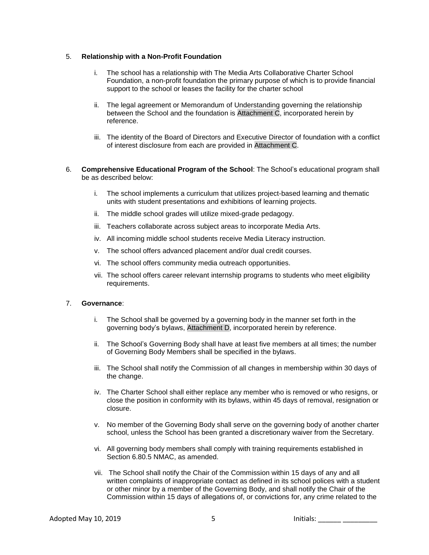## 5. **Relationship with a Non-Profit Foundation**

- i. The school has a relationship with The Media Arts Collaborative Charter School Foundation, a non-profit foundation the primary purpose of which is to provide financial support to the school or leases the facility for the charter school
- ii. The legal agreement or Memorandum of Understanding governing the relationship between the School and the foundation is Attachment C, incorporated herein by reference.
- iii. The identity of the Board of Directors and Executive Director of foundation with a conflict of interest disclosure from each are provided in Attachment C.
- 6. **Comprehensive Educational Program of the School**: The School's educational program shall be as described below:
	- i. The school implements a curriculum that utilizes project-based learning and thematic units with student presentations and exhibitions of learning projects.
	- ii. The middle school grades will utilize mixed-grade pedagogy.
	- iii. Teachers collaborate across subject areas to incorporate Media Arts.
	- iv. All incoming middle school students receive Media Literacy instruction.
	- v. The school offers advanced placement and/or dual credit courses.
	- vi. The school offers community media outreach opportunities.
	- vii. The school offers career relevant internship programs to students who meet eligibility requirements.

## 7. **Governance**:

- i. The School shall be governed by a governing body in the manner set forth in the governing body's bylaws, Attachment D, incorporated herein by reference.
- ii. The School's Governing Body shall have at least five members at all times; the number of Governing Body Members shall be specified in the bylaws.
- iii. The School shall notify the Commission of all changes in membership within 30 days of the change.
- iv. The Charter School shall either replace any member who is removed or who resigns, or close the position in conformity with its bylaws, within 45 days of removal, resignation or closure.
- v. No member of the Governing Body shall serve on the governing body of another charter school, unless the School has been granted a discretionary waiver from the Secretary.
- vi. All governing body members shall comply with training requirements established in Section 6.80.5 NMAC, as amended.
- vii. The School shall notify the Chair of the Commission within 15 days of any and all written complaints of inappropriate contact as defined in its school polices with a student or other minor by a member of the Governing Body, and shall notify the Chair of the Commission within 15 days of allegations of, or convictions for, any crime related to the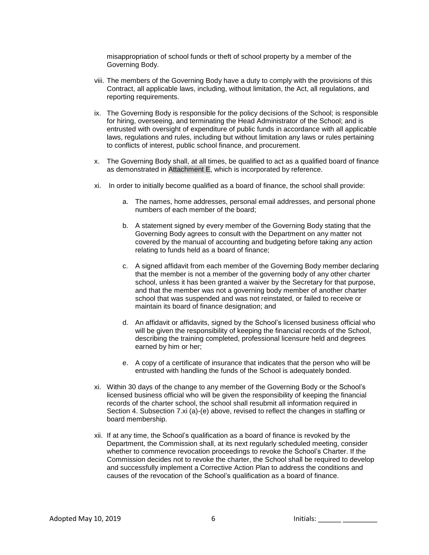misappropriation of school funds or theft of school property by a member of the Governing Body.

- viii. The members of the Governing Body have a duty to comply with the provisions of this Contract, all applicable laws, including, without limitation, the Act, all regulations, and reporting requirements.
- ix. The Governing Body is responsible for the policy decisions of the School; is responsible for hiring, overseeing, and terminating the Head Administrator of the School; and is entrusted with oversight of expenditure of public funds in accordance with all applicable laws, regulations and rules, including but without limitation any laws or rules pertaining to conflicts of interest, public school finance, and procurement.
- x. The Governing Body shall, at all times, be qualified to act as a qualified board of finance as demonstrated in Attachment E, which is incorporated by reference.
- xi. In order to initially become qualified as a board of finance, the school shall provide:
	- a. The names, home addresses, personal email addresses, and personal phone numbers of each member of the board;
	- b. A statement signed by every member of the Governing Body stating that the Governing Body agrees to consult with the Department on any matter not covered by the manual of accounting and budgeting before taking any action relating to funds held as a board of finance;
	- c. A signed affidavit from each member of the Governing Body member declaring that the member is not a member of the governing body of any other charter school, unless it has been granted a waiver by the Secretary for that purpose, and that the member was not a governing body member of another charter school that was suspended and was not reinstated, or failed to receive or maintain its board of finance designation; and
	- d. An affidavit or affidavits, signed by the School's licensed business official who will be given the responsibility of keeping the financial records of the School, describing the training completed, professional licensure held and degrees earned by him or her;
	- e. A copy of a certificate of insurance that indicates that the person who will be entrusted with handling the funds of the School is adequately bonded.
- xi. Within 30 days of the change to any member of the Governing Body or the School's licensed business official who will be given the responsibility of keeping the financial records of the charter school, the school shall resubmit all information required in Section 4. Subsection 7.xi (a)-(e) above, revised to reflect the changes in staffing or board membership.
- xii. If at any time, the School's qualification as a board of finance is revoked by the Department, the Commission shall, at its next regularly scheduled meeting, consider whether to commence revocation proceedings to revoke the School's Charter. If the Commission decides not to revoke the charter, the School shall be required to develop and successfully implement a Corrective Action Plan to address the conditions and causes of the revocation of the School's qualification as a board of finance.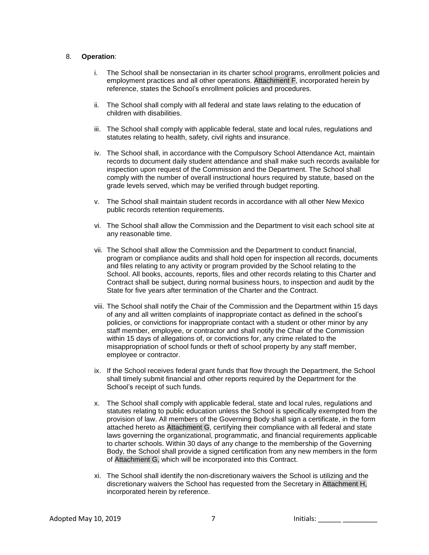## 8. **Operation**:

- i. The School shall be nonsectarian in its charter school programs, enrollment policies and employment practices and all other operations. Attachment F, incorporated herein by reference, states the School's enrollment policies and procedures.
- ii. The School shall comply with all federal and state laws relating to the education of children with disabilities.
- iii. The School shall comply with applicable federal, state and local rules, regulations and statutes relating to health, safety, civil rights and insurance.
- iv. The School shall, in accordance with the Compulsory School Attendance Act, maintain records to document daily student attendance and shall make such records available for inspection upon request of the Commission and the Department. The School shall comply with the number of overall instructional hours required by statute, based on the grade levels served, which may be verified through budget reporting.
- v. The School shall maintain student records in accordance with all other New Mexico public records retention requirements.
- vi. The School shall allow the Commission and the Department to visit each school site at any reasonable time.
- vii. The School shall allow the Commission and the Department to conduct financial, program or compliance audits and shall hold open for inspection all records, documents and files relating to any activity or program provided by the School relating to the School. All books, accounts, reports, files and other records relating to this Charter and Contract shall be subject, during normal business hours, to inspection and audit by the State for five years after termination of the Charter and the Contract.
- viii. The School shall notify the Chair of the Commission and the Department within 15 days of any and all written complaints of inappropriate contact as defined in the school's policies, or convictions for inappropriate contact with a student or other minor by any staff member, employee, or contractor and shall notify the Chair of the Commission within 15 days of allegations of, or convictions for, any crime related to the misappropriation of school funds or theft of school property by any staff member, employee or contractor.
- ix. If the School receives federal grant funds that flow through the Department, the School shall timely submit financial and other reports required by the Department for the School's receipt of such funds.
- x. The School shall comply with applicable federal, state and local rules, regulations and statutes relating to public education unless the School is specifically exempted from the provision of law. All members of the Governing Body shall sign a certificate, in the form attached hereto as Attachment G, certifying their compliance with all federal and state laws governing the organizational, programmatic, and financial requirements applicable to charter schools. Within 30 days of any change to the membership of the Governing Body, the School shall provide a signed certification from any new members in the form of Attachment G, which will be incorporated into this Contract.
- xi. The School shall identify the non-discretionary waivers the School is utilizing and the discretionary waivers the School has requested from the Secretary in Attachment H, incorporated herein by reference.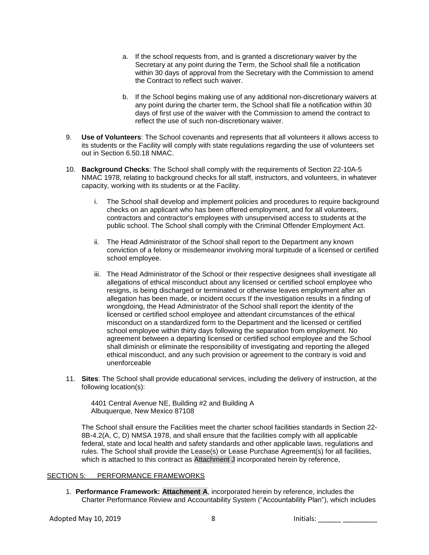- a. If the school requests from, and is granted a discretionary waiver by the Secretary at any point during the Term, the School shall file a notification within 30 days of approval from the Secretary with the Commission to amend the Contract to reflect such waiver.
- b. If the School begins making use of any additional non-discretionary waivers at any point during the charter term, the School shall file a notification within 30 days of first use of the waiver with the Commission to amend the contract to reflect the use of such non-discretionary waiver.
- 9. **Use of Volunteers**: The School covenants and represents that all volunteers it allows access to its students or the Facility will comply with state regulations regarding the use of volunteers set out in Section 6.50.18 NMAC.
- 10. **Background Checks**: The School shall comply with the requirements of Section 22-10A-5 NMAC 1978, relating to background checks for all staff, instructors, and volunteers, in whatever capacity, working with its students or at the Facility.
	- i. The School shall develop and implement policies and procedures to require background checks on an applicant who has been offered employment, and for all volunteers, contractors and contractor's employees with unsupervised access to students at the public school. The School shall comply with the Criminal Offender Employment Act.
	- ii. The Head Administrator of the School shall report to the Department any known conviction of a felony or misdemeanor involving moral turpitude of a licensed or certified school employee.
	- iii. The Head Administrator of the School or their respective designees shall investigate all allegations of ethical misconduct about any licensed or certified school employee who resigns, is being discharged or terminated or otherwise leaves employment after an allegation has been made, or incident occurs If the investigation results in a finding of wrongdoing, the Head Administrator of the School shall report the identity of the licensed or certified school employee and attendant circumstances of the ethical misconduct on a standardized form to the Department and the licensed or certified school employee within thirty days following the separation from employment. No agreement between a departing licensed or certified school employee and the School shall diminish or eliminate the responsibility of investigating and reporting the alleged ethical misconduct, and any such provision or agreement to the contrary is void and unenforceable
- 11. **Sites**: The School shall provide educational services, including the delivery of instruction, at the following location(s):

4401 Central Avenue NE, Building #2 and Building A Albuquerque, New Mexico 87108

The School shall ensure the Facilities meet the charter school facilities standards in Section 22- 8B-4.2(A, C, D) NMSA 1978, and shall ensure that the facilities comply with all applicable federal, state and local health and safety standards and other applicable laws, regulations and rules. The School shall provide the Lease(s) or Lease Purchase Agreement(s) for all facilities, which is attached to this contract as Attachment J incorporated herein by reference,

## SECTION 5: PERFORMANCE FRAMEWORKS

1. **Performance Framework: Attachment A**, incorporated herein by reference, includes the Charter Performance Review and Accountability System ("Accountability Plan"), which includes

Adopted May 10, 2019 **8** 10 and 10 and 10 and 10 and 10 and 10 and 10 and 10 and 10 and 10 and 10 and 10 and 10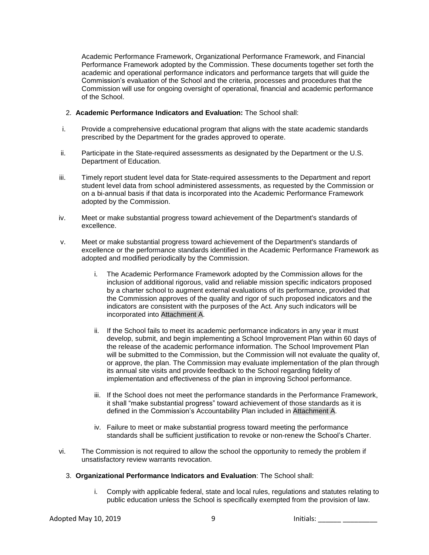Academic Performance Framework, Organizational Performance Framework, and Financial Performance Framework adopted by the Commission. These documents together set forth the academic and operational performance indicators and performance targets that will guide the Commission's evaluation of the School and the criteria, processes and procedures that the Commission will use for ongoing oversight of operational, financial and academic performance of the School.

- 2. **Academic Performance Indicators and Evaluation:** The School shall:
- i. Provide a comprehensive educational program that aligns with the state academic standards prescribed by the Department for the grades approved to operate.
- ii. Participate in the State-required assessments as designated by the Department or the U.S. Department of Education.
- iii. Timely report student level data for State-required assessments to the Department and report student level data from school administered assessments, as requested by the Commission or on a bi-annual basis if that data is incorporated into the Academic Performance Framework adopted by the Commission.
- iv. Meet or make substantial progress toward achievement of the Department's standards of excellence.
- v. Meet or make substantial progress toward achievement of the Department's standards of excellence or the performance standards identified in the Academic Performance Framework as adopted and modified periodically by the Commission.
	- i. The Academic Performance Framework adopted by the Commission allows for the inclusion of additional rigorous, valid and reliable mission specific indicators proposed by a charter school to augment external evaluations of its performance, provided that the Commission approves of the quality and rigor of such proposed indicators and the indicators are consistent with the purposes of the Act. Any such indicators will be incorporated into Attachment A.
	- ii. If the School fails to meet its academic performance indicators in any year it must develop, submit, and begin implementing a School Improvement Plan within 60 days of the release of the academic performance information. The School Improvement Plan will be submitted to the Commission, but the Commission will not evaluate the quality of, or approve, the plan. The Commission may evaluate implementation of the plan through its annual site visits and provide feedback to the School regarding fidelity of implementation and effectiveness of the plan in improving School performance.
	- iii. If the School does not meet the performance standards in the Performance Framework, it shall "make substantial progress" toward achievement of those standards as it is defined in the Commission's Accountability Plan included in Attachment A.
	- iv. Failure to meet or make substantial progress toward meeting the performance standards shall be sufficient justification to revoke or non-renew the School's Charter.
- vi. The Commission is not required to allow the school the opportunity to remedy the problem if unsatisfactory review warrants revocation.
	- 3. **Organizational Performance Indicators and Evaluation**: The School shall:
		- i. Comply with applicable federal, state and local rules, regulations and statutes relating to public education unless the School is specifically exempted from the provision of law.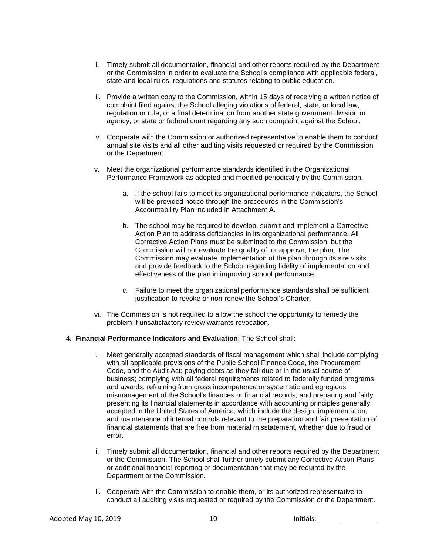- ii. Timely submit all documentation, financial and other reports required by the Department or the Commission in order to evaluate the School's compliance with applicable federal, state and local rules, regulations and statutes relating to public education.
- iii. Provide a written copy to the Commission, within 15 days of receiving a written notice of complaint filed against the School alleging violations of federal, state, or local law, regulation or rule, or a final determination from another state government division or agency, or state or federal court regarding any such complaint against the School.
- iv. Cooperate with the Commission or authorized representative to enable them to conduct annual site visits and all other auditing visits requested or required by the Commission or the Department.
- v. Meet the organizational performance standards identified in the Organizational Performance Framework as adopted and modified periodically by the Commission.
	- a. If the school fails to meet its organizational performance indicators, the School will be provided notice through the procedures in the Commission's Accountability Plan included in Attachment A.
	- b. The school may be required to develop, submit and implement a Corrective Action Plan to address deficiencies in its organizational performance. All Corrective Action Plans must be submitted to the Commission, but the Commission will not evaluate the quality of, or approve, the plan. The Commission may evaluate implementation of the plan through its site visits and provide feedback to the School regarding fidelity of implementation and effectiveness of the plan in improving school performance.
	- c. Failure to meet the organizational performance standards shall be sufficient justification to revoke or non-renew the School's Charter.
- vi. The Commission is not required to allow the school the opportunity to remedy the problem if unsatisfactory review warrants revocation.

## 4. **Financial Performance Indicators and Evaluation**: The School shall:

- i. Meet generally accepted standards of fiscal management which shall include complying with all applicable provisions of the Public School Finance Code, the Procurement Code, and the Audit Act; paying debts as they fall due or in the usual course of business; complying with all federal requirements related to federally funded programs and awards; refraining from gross incompetence or systematic and egregious mismanagement of the School's finances or financial records; and preparing and fairly presenting its financial statements in accordance with accounting principles generally accepted in the United States of America, which include the design, implementation, and maintenance of internal controls relevant to the preparation and fair presentation of financial statements that are free from material misstatement, whether due to fraud or error.
- ii. Timely submit all documentation, financial and other reports required by the Department or the Commission. The School shall further timely submit any Corrective Action Plans or additional financial reporting or documentation that may be required by the Department or the Commission.
- iii. Cooperate with the Commission to enable them, or its authorized representative to conduct all auditing visits requested or required by the Commission or the Department.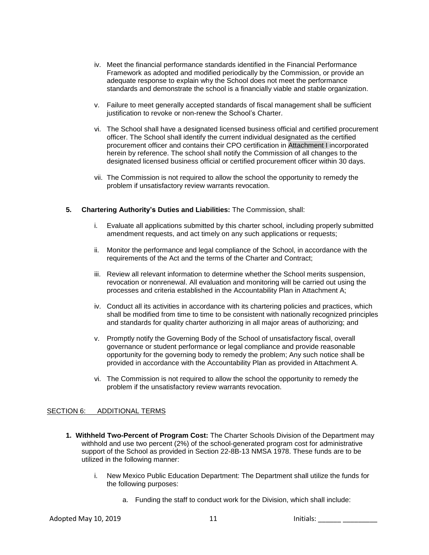- iv. Meet the financial performance standards identified in the Financial Performance Framework as adopted and modified periodically by the Commission, or provide an adequate response to explain why the School does not meet the performance standards and demonstrate the school is a financially viable and stable organization.
- v. Failure to meet generally accepted standards of fiscal management shall be sufficient justification to revoke or non-renew the School's Charter.
- vi. The School shall have a designated licensed business official and certified procurement officer. The School shall identify the current individual designated as the certified procurement officer and contains their CPO certification in Attachment I incorporated herein by reference. The school shall notify the Commission of all changes to the designated licensed business official or certified procurement officer within 30 days.
- vii. The Commission is not required to allow the school the opportunity to remedy the problem if unsatisfactory review warrants revocation.

## **5. Chartering Authority's Duties and Liabilities:** The Commission, shall:

- i. Evaluate all applications submitted by this charter school, including properly submitted amendment requests, and act timely on any such applications or requests;
- ii. Monitor the performance and legal compliance of the School, in accordance with the requirements of the Act and the terms of the Charter and Contract;
- iii. Review all relevant information to determine whether the School merits suspension, revocation or nonrenewal. All evaluation and monitoring will be carried out using the processes and criteria established in the Accountability Plan in Attachment A;
- iv. Conduct all its activities in accordance with its chartering policies and practices, which shall be modified from time to time to be consistent with nationally recognized principles and standards for quality charter authorizing in all major areas of authorizing; and
- v. Promptly notify the Governing Body of the School of unsatisfactory fiscal, overall governance or student performance or legal compliance and provide reasonable opportunity for the governing body to remedy the problem; Any such notice shall be provided in accordance with the Accountability Plan as provided in Attachment A.
- vi. The Commission is not required to allow the school the opportunity to remedy the problem if the unsatisfactory review warrants revocation.

# SECTION 6: ADDITIONAL TERMS

- **1. Withheld Two-Percent of Program Cost:** The Charter Schools Division of the Department may withhold and use two percent (2%) of the school-generated program cost for administrative support of the School as provided in Section 22-8B-13 NMSA 1978. These funds are to be utilized in the following manner:
	- i. New Mexico Public Education Department: The Department shall utilize the funds for the following purposes:
		- a. Funding the staff to conduct work for the Division, which shall include: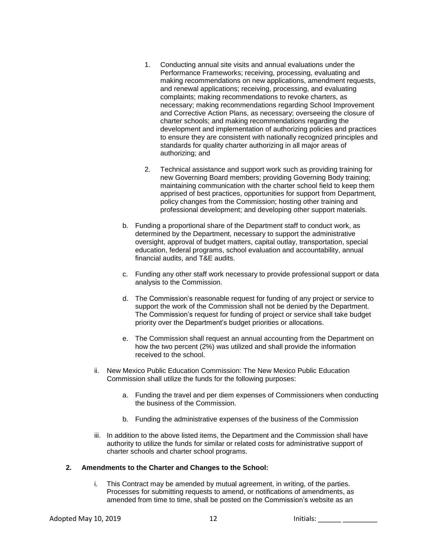- 1. Conducting annual site visits and annual evaluations under the Performance Frameworks; receiving, processing, evaluating and making recommendations on new applications, amendment requests, and renewal applications; receiving, processing, and evaluating complaints; making recommendations to revoke charters, as necessary; making recommendations regarding School Improvement and Corrective Action Plans, as necessary; overseeing the closure of charter schools; and making recommendations regarding the development and implementation of authorizing policies and practices to ensure they are consistent with nationally recognized principles and standards for quality charter authorizing in all major areas of authorizing; and
- 2. Technical assistance and support work such as providing training for new Governing Board members; providing Governing Body training; maintaining communication with the charter school field to keep them apprised of best practices, opportunities for support from Department, policy changes from the Commission; hosting other training and professional development; and developing other support materials.
- b. Funding a proportional share of the Department staff to conduct work, as determined by the Department, necessary to support the administrative oversight, approval of budget matters, capital outlay, transportation, special education, federal programs, school evaluation and accountability, annual financial audits, and T&E audits.
- c. Funding any other staff work necessary to provide professional support or data analysis to the Commission.
- d. The Commission's reasonable request for funding of any project or service to support the work of the Commission shall not be denied by the Department. The Commission's request for funding of project or service shall take budget priority over the Department's budget priorities or allocations.
- e. The Commission shall request an annual accounting from the Department on how the two percent (2%) was utilized and shall provide the information received to the school.
- ii. New Mexico Public Education Commission: The New Mexico Public Education Commission shall utilize the funds for the following purposes:
	- a. Funding the travel and per diem expenses of Commissioners when conducting the business of the Commission.
	- b. Funding the administrative expenses of the business of the Commission
- iii. In addition to the above listed items, the Department and the Commission shall have authority to utilize the funds for similar or related costs for administrative support of charter schools and charter school programs.

## **2. Amendments to the Charter and Changes to the School:**

i. This Contract may be amended by mutual agreement, in writing, of the parties. Processes for submitting requests to amend, or notifications of amendments, as amended from time to time, shall be posted on the Commission's website as an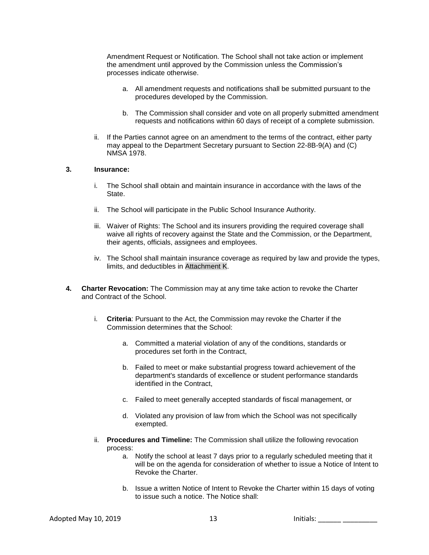Amendment Request or Notification. The School shall not take action or implement the amendment until approved by the Commission unless the Commission's processes indicate otherwise.

- a. All amendment requests and notifications shall be submitted pursuant to the procedures developed by the Commission.
- b. The Commission shall consider and vote on all properly submitted amendment requests and notifications within 60 days of receipt of a complete submission.
- ii. If the Parties cannot agree on an amendment to the terms of the contract, either party may appeal to the Department Secretary pursuant to Section 22-8B-9(A) and (C) NMSA 1978.

# **3. Insurance:**

- i. The School shall obtain and maintain insurance in accordance with the laws of the State.
- ii. The School will participate in the Public School Insurance Authority.
- iii. Waiver of Rights: The School and its insurers providing the required coverage shall waive all rights of recovery against the State and the Commission, or the Department, their agents, officials, assignees and employees.
- iv. The School shall maintain insurance coverage as required by law and provide the types, limits, and deductibles in Attachment K.
- **4. Charter Revocation:** The Commission may at any time take action to revoke the Charter and Contract of the School.
	- i. **Criteria**: Pursuant to the Act, the Commission may revoke the Charter if the Commission determines that the School:
		- a. Committed a material violation of any of the conditions, standards or procedures set forth in the Contract,
		- b. Failed to meet or make substantial progress toward achievement of the department's standards of excellence or student performance standards identified in the Contract,
		- c. Failed to meet generally accepted standards of fiscal management, or
		- d. Violated any provision of law from which the School was not specifically exempted.
	- ii. **Procedures and Timeline:** The Commission shall utilize the following revocation process:
		- a. Notify the school at least 7 days prior to a regularly scheduled meeting that it will be on the agenda for consideration of whether to issue a Notice of Intent to Revoke the Charter.
		- b. Issue a written Notice of Intent to Revoke the Charter within 15 days of voting to issue such a notice. The Notice shall: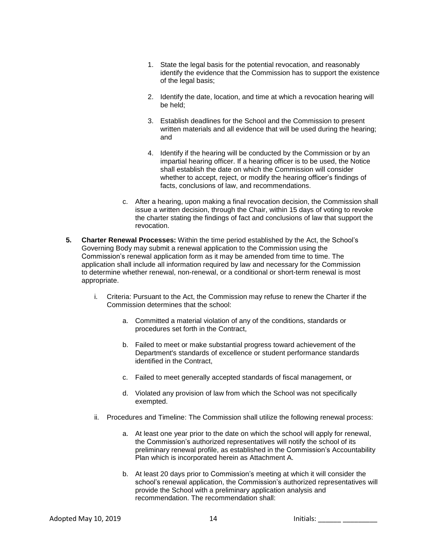- 1. State the legal basis for the potential revocation, and reasonably identify the evidence that the Commission has to support the existence of the legal basis;
- 2. Identify the date, location, and time at which a revocation hearing will be held;
- 3. Establish deadlines for the School and the Commission to present written materials and all evidence that will be used during the hearing; and
- 4. Identify if the hearing will be conducted by the Commission or by an impartial hearing officer. If a hearing officer is to be used, the Notice shall establish the date on which the Commission will consider whether to accept, reject, or modify the hearing officer's findings of facts, conclusions of law, and recommendations.
- c. After a hearing, upon making a final revocation decision, the Commission shall issue a written decision, through the Chair, within 15 days of voting to revoke the charter stating the findings of fact and conclusions of law that support the revocation.
- **5. Charter Renewal Processes:** Within the time period established by the Act, the School's Governing Body may submit a renewal application to the Commission using the Commission's renewal application form as it may be amended from time to time. The application shall include all information required by law and necessary for the Commission to determine whether renewal, non-renewal, or a conditional or short-term renewal is most appropriate.
	- i. Criteria: Pursuant to the Act, the Commission may refuse to renew the Charter if the Commission determines that the school:
		- a. Committed a material violation of any of the conditions, standards or procedures set forth in the Contract,
		- b. Failed to meet or make substantial progress toward achievement of the Department's standards of excellence or student performance standards identified in the Contract,
		- c. Failed to meet generally accepted standards of fiscal management, or
		- d. Violated any provision of law from which the School was not specifically exempted.
	- ii. Procedures and Timeline: The Commission shall utilize the following renewal process:
		- a. At least one year prior to the date on which the school will apply for renewal, the Commission's authorized representatives will notify the school of its preliminary renewal profile, as established in the Commission's Accountability Plan which is incorporated herein as Attachment A.
		- b. At least 20 days prior to Commission's meeting at which it will consider the school's renewal application, the Commission's authorized representatives will provide the School with a preliminary application analysis and recommendation. The recommendation shall: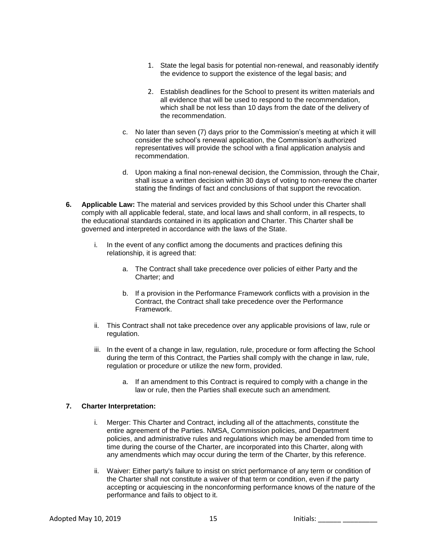- 1. State the legal basis for potential non-renewal, and reasonably identify the evidence to support the existence of the legal basis; and
- 2. Establish deadlines for the School to present its written materials and all evidence that will be used to respond to the recommendation, which shall be not less than 10 days from the date of the delivery of the recommendation.
- c. No later than seven (7) days prior to the Commission's meeting at which it will consider the school's renewal application, the Commission's authorized representatives will provide the school with a final application analysis and recommendation.
- d. Upon making a final non-renewal decision, the Commission, through the Chair, shall issue a written decision within 30 days of voting to non-renew the charter stating the findings of fact and conclusions of that support the revocation.
- **6. Applicable Law:** The material and services provided by this School under this Charter shall comply with all applicable federal, state, and local laws and shall conform, in all respects, to the educational standards contained in its application and Charter. This Charter shall be governed and interpreted in accordance with the laws of the State.
	- i. In the event of any conflict among the documents and practices defining this relationship, it is agreed that:
		- a. The Contract shall take precedence over policies of either Party and the Charter; and
		- b. If a provision in the Performance Framework conflicts with a provision in the Contract, the Contract shall take precedence over the Performance Framework.
	- ii. This Contract shall not take precedence over any applicable provisions of law, rule or regulation.
	- iii. In the event of a change in law, regulation, rule, procedure or form affecting the School during the term of this Contract, the Parties shall comply with the change in law, rule, regulation or procedure or utilize the new form, provided.
		- a. If an amendment to this Contract is required to comply with a change in the law or rule, then the Parties shall execute such an amendment.

## **7. Charter Interpretation:**

- i. Merger: This Charter and Contract, including all of the attachments, constitute the entire agreement of the Parties. NMSA, Commission policies, and Department policies, and administrative rules and regulations which may be amended from time to time during the course of the Charter, are incorporated into this Charter, along with any amendments which may occur during the term of the Charter, by this reference.
- ii. Waiver: Either party's failure to insist on strict performance of any term or condition of the Charter shall not constitute a waiver of that term or condition, even if the party accepting or acquiescing in the nonconforming performance knows of the nature of the performance and fails to object to it.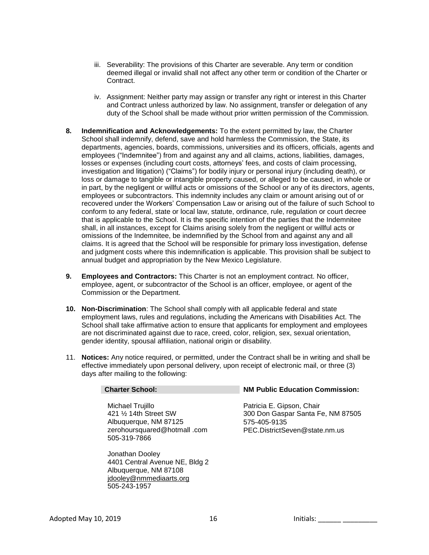- iii. Severability: The provisions of this Charter are severable. Any term or condition deemed illegal or invalid shall not affect any other term or condition of the Charter or Contract.
- iv. Assignment: Neither party may assign or transfer any right or interest in this Charter and Contract unless authorized by law. No assignment, transfer or delegation of any duty of the School shall be made without prior written permission of the Commission.
- **8. Indemnification and Acknowledgements:** To the extent permitted by law, the Charter School shall indemnify, defend, save and hold harmless the Commission, the State, its departments, agencies, boards, commissions, universities and its officers, officials, agents and employees ("Indemnitee") from and against any and all claims, actions, liabilities, damages, losses or expenses (including court costs, attorneys' fees, and costs of claim processing, investigation and litigation) ("Claims") for bodily injury or personal injury (including death), or loss or damage to tangible or intangible property caused, or alleged to be caused, in whole or in part, by the negligent or willful acts or omissions of the School or any of its directors, agents, employees or subcontractors. This indemnity includes any claim or amount arising out of or recovered under the Workers' Compensation Law or arising out of the failure of such School to conform to any federal, state or local law, statute, ordinance, rule, regulation or court decree that is applicable to the School. It is the specific intention of the parties that the Indemnitee shall, in all instances, except for Claims arising solely from the negligent or willful acts or omissions of the Indemnitee, be indemnified by the School from and against any and all claims. It is agreed that the School will be responsible for primary loss investigation, defense and judgment costs where this indemnification is applicable. This provision shall be subject to annual budget and appropriation by the New Mexico Legislature.
- **9. Employees and Contractors:** This Charter is not an employment contract. No officer, employee, agent, or subcontractor of the School is an officer, employee, or agent of the Commission or the Department.
- **10. Non-Discrimination**: The School shall comply with all applicable federal and state employment laws, rules and regulations, including the Americans with Disabilities Act. The School shall take affirmative action to ensure that applicants for employment and employees are not discriminated against due to race, creed, color, religion, sex, sexual orientation, gender identity, spousal affiliation, national origin or disability.
- 11. **Notices:** Any notice required, or permitted, under the Contract shall be in writing and shall be effective immediately upon personal delivery, upon receipt of electronic mail, or three (3) days after mailing to the following:

| <b>Charter School:</b>                                                                                                | <b>NM Public Education Commission:</b>                                                                          |
|-----------------------------------------------------------------------------------------------------------------------|-----------------------------------------------------------------------------------------------------------------|
| Michael Trujillo<br>421 1/2 14th Street SW<br>Albuquerque, NM 87125<br>zerohoursquared@hotmall.com<br>505-319-7866    | Patricia E. Gipson, Chair<br>300 Don Gaspar Santa Fe, NM 87505<br>575-405-9135<br>PEC.DistrictSeven@state.nm.us |
| Jonathan Dooley<br>4401 Central Avenue NE, Bldg 2<br>Albuquerque, NM 87108<br>jdooley@nmmediaarts.org<br>505-243-1957 |                                                                                                                 |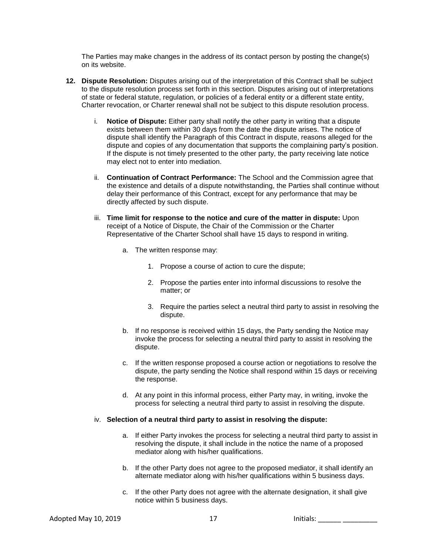The Parties may make changes in the address of its contact person by posting the change(s) on its website.

- **12. Dispute Resolution:** Disputes arising out of the interpretation of this Contract shall be subject to the dispute resolution process set forth in this section. Disputes arising out of interpretations of state or federal statute, regulation, or policies of a federal entity or a different state entity, Charter revocation, or Charter renewal shall not be subject to this dispute resolution process.
	- i. **Notice of Dispute:** Either party shall notify the other party in writing that a dispute exists between them within 30 days from the date the dispute arises. The notice of dispute shall identify the Paragraph of this Contract in dispute, reasons alleged for the dispute and copies of any documentation that supports the complaining party's position. If the dispute is not timely presented to the other party, the party receiving late notice may elect not to enter into mediation.
	- ii. **Continuation of Contract Performance:** The School and the Commission agree that the existence and details of a dispute notwithstanding, the Parties shall continue without delay their performance of this Contract, except for any performance that may be directly affected by such dispute.
	- iii. **Time limit for response to the notice and cure of the matter in dispute:** Upon receipt of a Notice of Dispute, the Chair of the Commission or the Charter Representative of the Charter School shall have 15 days to respond in writing.
		- a. The written response may:
			- 1. Propose a course of action to cure the dispute;
			- 2. Propose the parties enter into informal discussions to resolve the matter; or
			- 3. Require the parties select a neutral third party to assist in resolving the dispute.
		- b. If no response is received within 15 days, the Party sending the Notice may invoke the process for selecting a neutral third party to assist in resolving the dispute.
		- c. If the written response proposed a course action or negotiations to resolve the dispute, the party sending the Notice shall respond within 15 days or receiving the response.
		- d. At any point in this informal process, either Party may, in writing, invoke the process for selecting a neutral third party to assist in resolving the dispute.

#### iv. **Selection of a neutral third party to assist in resolving the dispute:**

- a. If either Party invokes the process for selecting a neutral third party to assist in resolving the dispute, it shall include in the notice the name of a proposed mediator along with his/her qualifications.
- b. If the other Party does not agree to the proposed mediator, it shall identify an alternate mediator along with his/her qualifications within 5 business days.
- c. If the other Party does not agree with the alternate designation, it shall give notice within 5 business days.